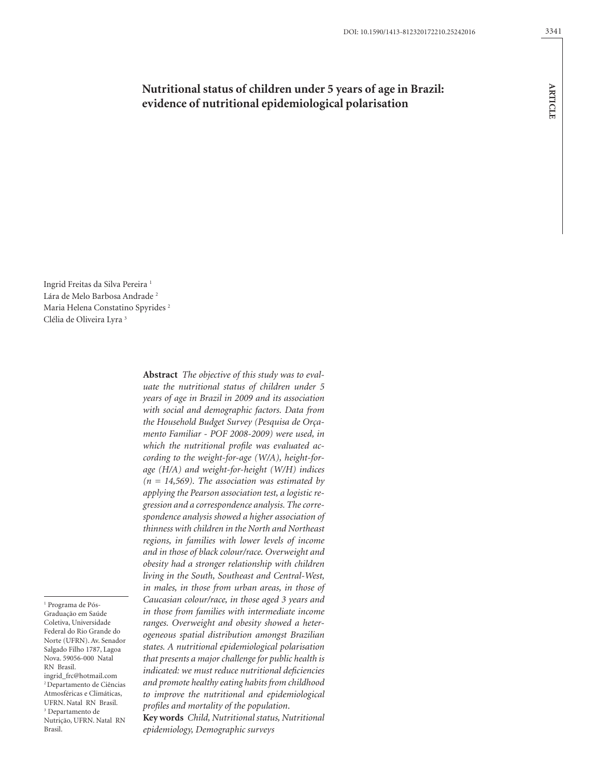# **Nutritional status of children under 5 years of age in Brazil: evidence of nutritional epidemiological polarisation**

Ingrid Freitas da Silva Pereira 1 Lára de Melo Barbosa Andrade<sup>2</sup> Maria Helena Constatino Spyrides 2 Clélia de Oliveira Lyra 3

1 Programa de Pós-

Graduação em Saúde Coletiva, Universidade Federal do Rio Grande do Norte (UFRN). Av. Senador Salgado Filho 1787, Lagoa Nova. 59056-000 Natal RN Brasil. ingrid\_frc@hotmail.com 2 Departamento de Ciências Atmosféricas e Climáticas, UFRN. Natal RN Brasil. 3 Departamento de Nutrição, UFRN. Natal RN Brasil.

*uate the nutritional status of children under 5 years of age in Brazil in 2009 and its association with social and demographic factors. Data from the Household Budget Survey (Pesquisa de Orçamento Familiar - POF 2008-2009) were used, in which the nutritional profile was evaluated according to the weight-for-age (W/A), height-forage (H/A) and weight-for-height (W/H) indices (n = 14,569). The association was estimated by applying the Pearson association test, a logistic regression and a correspondence analysis. The correspondence analysis showed a higher association of thinness with children in the North and Northeast regions, in families with lower levels of income and in those of black colour/race. Overweight and obesity had a stronger relationship with children living in the South, Southeast and Central-West, in males, in those from urban areas, in those of Caucasian colour/race, in those aged 3 years and in those from families with intermediate income ranges. Overweight and obesity showed a heterogeneous spatial distribution amongst Brazilian states. A nutritional epidemiological polarisation that presents a major challenge for public health is indicated: we must reduce nutritional deficiencies and promote healthy eating habits from childhood to improve the nutritional and epidemiological profiles and mortality of the population*.

**Abstract** *The objective of this study was to eval-*

**Key words** *Child, Nutritional status, Nutritional epidemiology, Demographic surveys*

**ARTICLE**

**ARTICLE**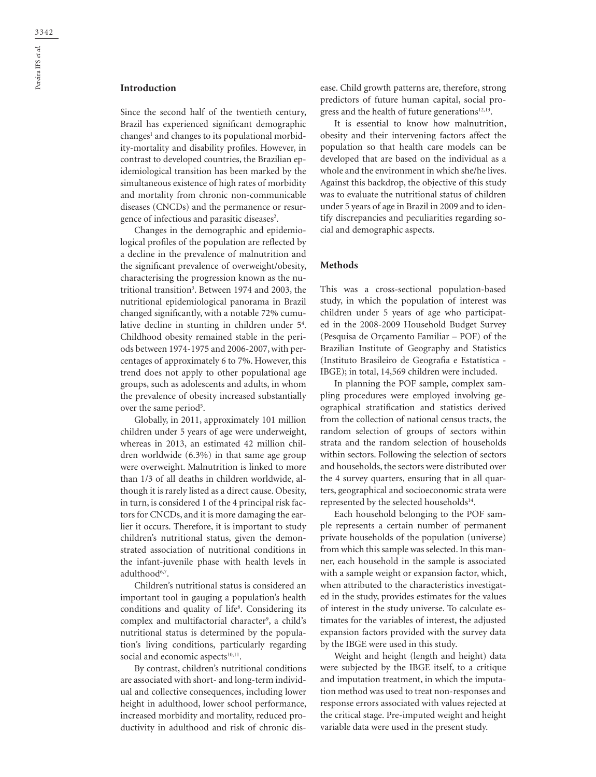# **Introduction**

Since the second half of the twentieth century, Brazil has experienced significant demographic  $\mathrm{changes^1}$  and  $\mathrm{changes}$  to its populational morbidity-mortality and disability profiles. However, in contrast to developed countries, the Brazilian epidemiological transition has been marked by the simultaneous existence of high rates of morbidity and mortality from chronic non-communicable diseases (CNCDs) and the permanence or resurgence of infectious and parasitic diseases<sup>2</sup>.

Changes in the demographic and epidemiological profiles of the population are reflected by a decline in the prevalence of malnutrition and the significant prevalence of overweight/obesity, characterising the progression known as the nutritional transition3 . Between 1974 and 2003, the nutritional epidemiological panorama in Brazil changed significantly, with a notable 72% cumulative decline in stunting in children under 5<sup>4</sup>. Childhood obesity remained stable in the periods between 1974-1975 and 2006-2007, with percentages of approximately 6 to 7%. However, this trend does not apply to other populational age groups, such as adolescents and adults, in whom the prevalence of obesity increased substantially over the same period<sup>5</sup>.

Globally, in 2011, approximately 101 million children under 5 years of age were underweight, whereas in 2013, an estimated 42 million children worldwide (6.3%) in that same age group were overweight. Malnutrition is linked to more than 1/3 of all deaths in children worldwide, although it is rarely listed as a direct cause. Obesity, in turn, is considered 1 of the 4 principal risk factors for CNCDs, and it is more damaging the earlier it occurs. Therefore, it is important to study children's nutritional status, given the demonstrated association of nutritional conditions in the infant-juvenile phase with health levels in adulthood<sup>6,7</sup>.

Children's nutritional status is considered an important tool in gauging a population's health conditions and quality of life<sup>8</sup>. Considering its complex and multifactorial character<sup>9</sup>, a child's nutritional status is determined by the population's living conditions, particularly regarding social and economic aspects<sup>10,11</sup>.

By contrast, children's nutritional conditions are associated with short- and long-term individual and collective consequences, including lower height in adulthood, lower school performance, increased morbidity and mortality, reduced productivity in adulthood and risk of chronic disease. Child growth patterns are, therefore, strong predictors of future human capital, social progress and the health of future generations $12,13$ .

It is essential to know how malnutrition, obesity and their intervening factors affect the population so that health care models can be developed that are based on the individual as a whole and the environment in which she/he lives. Against this backdrop, the objective of this study was to evaluate the nutritional status of children under 5 years of age in Brazil in 2009 and to identify discrepancies and peculiarities regarding social and demographic aspects.

## **Methods**

This was a cross-sectional population-based study, in which the population of interest was children under 5 years of age who participated in the 2008-2009 Household Budget Survey (Pesquisa de Orçamento Familiar – POF) of the Brazilian Institute of Geography and Statistics (Instituto Brasileiro de Geografia e Estatística - IBGE); in total, 14,569 children were included.

In planning the POF sample, complex sampling procedures were employed involving geographical stratification and statistics derived from the collection of national census tracts, the random selection of groups of sectors within strata and the random selection of households within sectors. Following the selection of sectors and households, the sectors were distributed over the 4 survey quarters, ensuring that in all quarters, geographical and socioeconomic strata were represented by the selected households<sup>14</sup>.

Each household belonging to the POF sample represents a certain number of permanent private households of the population (universe) from which this sample was selected. In this manner, each household in the sample is associated with a sample weight or expansion factor, which, when attributed to the characteristics investigated in the study, provides estimates for the values of interest in the study universe. To calculate estimates for the variables of interest, the adjusted expansion factors provided with the survey data by the IBGE were used in this study.

Weight and height (length and height) data were subjected by the IBGE itself, to a critique and imputation treatment, in which the imputation method was used to treat non-responses and response errors associated with values rejected at the critical stage. Pre-imputed weight and height variable data were used in the present study.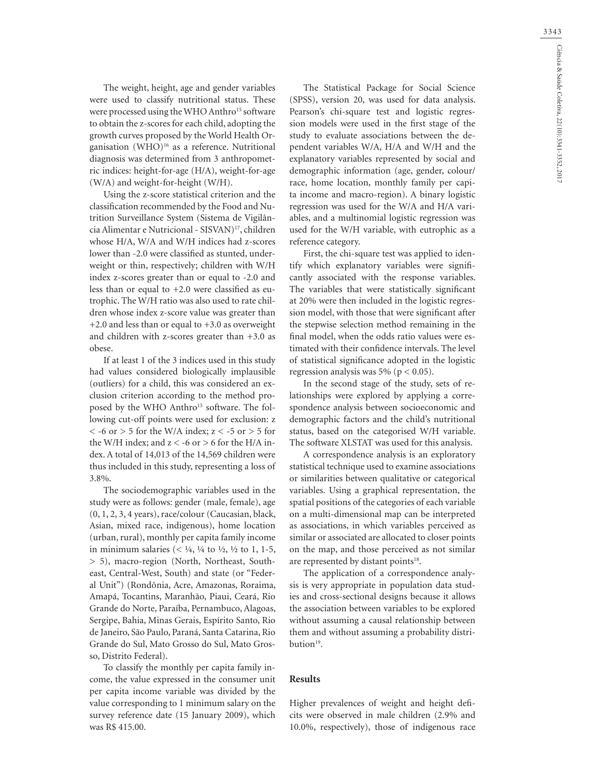The weight, height, age and gender variables were used to classify nutritional status. These were processed using the WHO Anthro<sup>15</sup> software to obtain the z-scores for each child, adopting the growth curves proposed by the World Health Organisation (WHO)16 as a reference. Nutritional diagnosis was determined from 3 anthropometric indices: height-for-age (H/A), weight-for-age (W/A) and weight-for-height (W/H).

Using the z-score statistical criterion and the classification recommended by the Food and Nutrition Surveillance System (Sistema de Vigilância Alimentar e Nutricional - SISVAN)17, children whose H/A, W/A and W/H indices had z-scores lower than -2.0 were classified as stunted, underweight or thin, respectively; children with W/H index z-scores greater than or equal to -2.0 and less than or equal to  $+2.0$  were classified as eutrophic. The W/H ratio was also used to rate children whose index z-score value was greater than +2.0 and less than or equal to +3.0 as overweight and children with z-scores greater than  $+3.0$  as obese.

If at least 1 of the 3 indices used in this study had values considered biologically implausible (outliers) for a child, this was considered an exclusion criterion according to the method proposed by the WHO Anthro<sup>15</sup> software. The following cut-off points were used for exclusion: z  $<$  -6 or  $>$  5 for the W/A index; z  $<$  -5 or  $>$  5 for the W/H index; and  $z < -6$  or  $> 6$  for the H/A index. A total of 14,013 of the 14,569 children were thus included in this study, representing a loss of 3.8%.

The sociodemographic variables used in the study were as follows: gender (male, female), age (0, 1, 2, 3, 4 years), race/colour (Caucasian, black, Asian, mixed race, indigenous), home location (urban, rural), monthly per capita family income in minimum salaries (<  $\frac{1}{4}$ ,  $\frac{1}{4}$  to  $\frac{1}{2}$ ,  $\frac{1}{2}$  to 1, 1-5, > 5), macro-region (North, Northeast, Southeast, Central-West, South) and state (or "Federal Unit") (Rondônia, Acre, Amazonas, Roraima, Amapá, Tocantins, Maranhão, Piaui, Ceará, Rio Grande do Norte, Paraíba, Pernambuco, Alagoas, Sergipe, Bahia, Minas Gerais, Espírito Santo, Rio de Janeiro, São Paulo, Paraná, Santa Catarina, Rio Grande do Sul, Mato Grosso do Sul, Mato Grosso, Distrito Federal).

To classify the monthly per capita family income, the value expressed in the consumer unit per capita income variable was divided by the value corresponding to 1 minimum salary on the survey reference date (15 January 2009), which was R\$ 415.00.

The Statistical Package for Social Science (SPSS), version 20, was used for data analysis. Pearson's chi-square test and logistic regression models were used in the first stage of the study to evaluate associations between the dependent variables W/A, H/A and W/H and the explanatory variables represented by social and demographic information (age, gender, colour/ race, home location, monthly family per capita income and macro-region). A binary logistic regression was used for the W/A and H/A variables, and a multinomial logistic regression was used for the W/H variable, with eutrophic as a reference category.

First, the chi-square test was applied to identify which explanatory variables were significantly associated with the response variables. The variables that were statistically significant at 20% were then included in the logistic regression model, with those that were significant after the stepwise selection method remaining in the final model, when the odds ratio values were estimated with their confidence intervals. The level of statistical significance adopted in the logistic regression analysis was 5% ( $p < 0.05$ ).

In the second stage of the study, sets of relationships were explored by applying a correspondence analysis between socioeconomic and demographic factors and the child's nutritional status, based on the categorised W/H variable. The software XLSTAT was used for this analysis.

A correspondence analysis is an exploratory statistical technique used to examine associations or similarities between qualitative or categorical variables. Using a graphical representation, the spatial positions of the categories of each variable on a multi-dimensional map can be interpreted as associations, in which variables perceived as similar or associated are allocated to closer points on the map, and those perceived as not similar are represented by distant points<sup>18</sup>.

The application of a correspondence analysis is very appropriate in population data studies and cross-sectional designs because it allows the association between variables to be explored without assuming a causal relationship between them and without assuming a probability distribution<sup>19</sup>.

#### **Results**

Higher prevalences of weight and height deficits were observed in male children (2.9% and 10.0%, respectively), those of indigenous race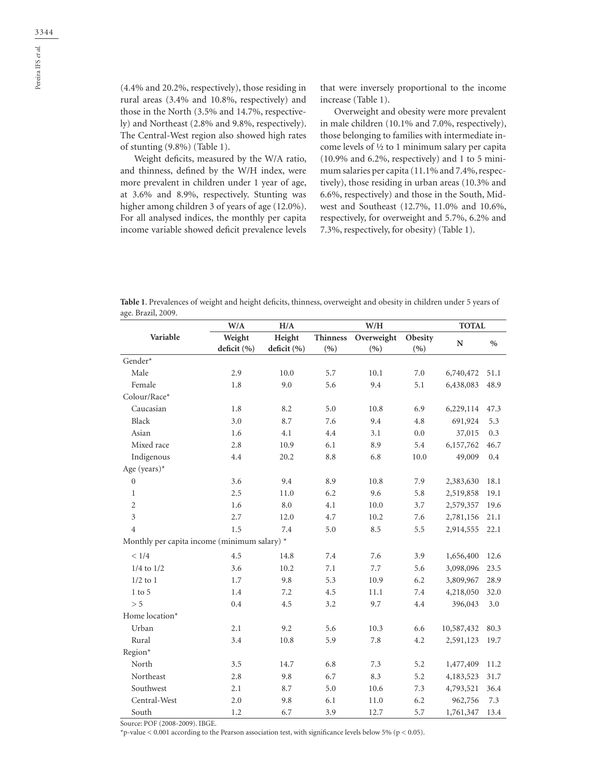(4.4% and 20.2%, respectively), those residing in rural areas (3.4% and 10.8%, respectively) and those in the North (3.5% and 14.7%, respectively) and Northeast (2.8% and 9.8%, respectively). The Central-West region also showed high rates of stunting (9.8%) (Table 1).

Weight deficits, measured by the W/A ratio, and thinness, defined by the W/H index, were more prevalent in children under 1 year of age, at 3.6% and 8.9%, respectively. Stunting was higher among children 3 of years of age (12.0%). For all analysed indices, the monthly per capita income variable showed deficit prevalence levels that were inversely proportional to the income increase (Table 1).

Overweight and obesity were more prevalent in male children (10.1% and 7.0%, respectively), those belonging to families with intermediate income levels of ½ to 1 minimum salary per capita (10.9% and 6.2%, respectively) and 1 to 5 minimum salaries per capita (11.1% and 7.4%, respectively), those residing in urban areas (10.3% and 6.6%, respectively) and those in the South, Midwest and Southeast (12.7%, 11.0% and 10.6%, respectively, for overweight and 5.7%, 6.2% and 7.3%, respectively, for obesity) (Table 1).

| Table 1. Prevalences of weight and height deficits, thinness, overweight and obesity in children under 5 years of |  |  |  |
|-------------------------------------------------------------------------------------------------------------------|--|--|--|
| age. Brazil, 2009.                                                                                                |  |  |  |

|                                              | W/A                   | H/A                   |                        | W/H               |                | <b>TOTAL</b> |               |
|----------------------------------------------|-----------------------|-----------------------|------------------------|-------------------|----------------|--------------|---------------|
| Variable                                     | Weight<br>deficit (%) | Height<br>deficit (%) | <b>Thinness</b><br>(%) | Overweight<br>(%) | Obesity<br>(%) | N            | $\frac{0}{0}$ |
| Gender*                                      |                       |                       |                        |                   |                |              |               |
| Male                                         | 2.9                   | 10.0                  | 5.7                    | 10.1              | 7.0            | 6,740,472    | 51.1          |
| Female                                       | 1.8                   | 9.0                   | 5.6                    | 9.4               | 5.1            | 6,438,083    | 48.9          |
| Colour/Race*                                 |                       |                       |                        |                   |                |              |               |
| Caucasian                                    | 1.8                   | 8.2                   | 5.0                    | 10.8              | 6.9            | 6,229,114    | 47.3          |
| Black                                        | 3.0                   | 8.7                   | 7.6                    | 9.4               | 4.8            | 691,924      | 5.3           |
| Asian                                        | 1.6                   | 4.1                   | 4.4                    | 3.1               | 0.0            | 37,015       | 0.3           |
| Mixed race                                   | 2.8                   | 10.9                  | 6.1                    | 8.9               | 5.4            | 6,157,762    | 46.7          |
| Indigenous                                   | 4.4                   | 20.2                  | 8.8                    | 6.8               | 10.0           | 49,009       | $\rm 0.4$     |
| Age (years)*                                 |                       |                       |                        |                   |                |              |               |
| $\boldsymbol{0}$                             | 3.6                   | 9.4                   | 8.9                    | 10.8              | 7.9            | 2,383,630    | 18.1          |
| $\mathbf{1}$                                 | 2.5                   | 11.0                  | 6.2                    | 9.6               | 5.8            | 2,519,858    | 19.1          |
| 2                                            | 1.6                   | 8.0                   | 4.1                    | 10.0              | 3.7            | 2,579,357    | 19.6          |
| $\mathfrak{Z}$                               | 2.7                   | 12.0                  | 4.7                    | 10.2              | 7.6            | 2,781,156    | 21.1          |
| $\overline{4}$                               | 1.5                   | 7.4                   | 5.0                    | 8.5               | 5.5            | 2,914,555    | 22.1          |
| Monthly per capita income (minimum salary) * |                       |                       |                        |                   |                |              |               |
| < 1/4                                        | 4.5                   | 14.8                  | 7.4                    | 7.6               | 3.9            | 1,656,400    | 12.6          |
| $1/4$ to $1/2$                               | 3.6                   | 10.2                  | 7.1                    | 7.7               | 5.6            | 3,098,096    | 23.5          |
| $1/2$ to $1$                                 | 1.7                   | 9.8                   | 5.3                    | 10.9              | 6.2            | 3,809,967    | 28.9          |
| $1$ to $5$                                   | 1.4                   | 7.2                   | 4.5                    | 11.1              | 7.4            | 4,218,050    | 32.0          |
| > 5                                          | 0.4                   | 4.5                   | 3.2                    | 9.7               | 4.4            | 396,043      | 3.0           |
| Home location*                               |                       |                       |                        |                   |                |              |               |
| Urban                                        | 2.1                   | 9.2                   | 5.6                    | 10.3              | 6.6            | 10,587,432   | 80.3          |
| Rural                                        | 3.4                   | 10.8                  | 5.9                    | 7.8               | 4.2            | 2,591,123    | 19.7          |
| Region*                                      |                       |                       |                        |                   |                |              |               |
| North                                        | 3.5                   | 14.7                  | 6.8                    | 7.3               | 5.2            | 1,477,409    | 11.2          |
| Northeast                                    | 2.8                   | 9.8                   | 6.7                    | 8.3               | 5.2            | 4,183,523    | 31.7          |
| Southwest                                    | 2.1                   | 8.7                   | 5.0                    | 10.6              | 7.3            | 4,793,521    | 36.4          |
| Central-West                                 | 2.0                   | 9.8                   | 6.1                    | 11.0              | 6.2            | 962,756      | 7.3           |
| South                                        | 1.2                   | 6.7                   | 3.9                    | 12.7              | 5.7            | 1,761,347    | 13.4          |

Source: POF (2008-2009). IBGE.

\*p-value < 0.001 according to the Pearson association test, with significance levels below 5% (p < 0.05).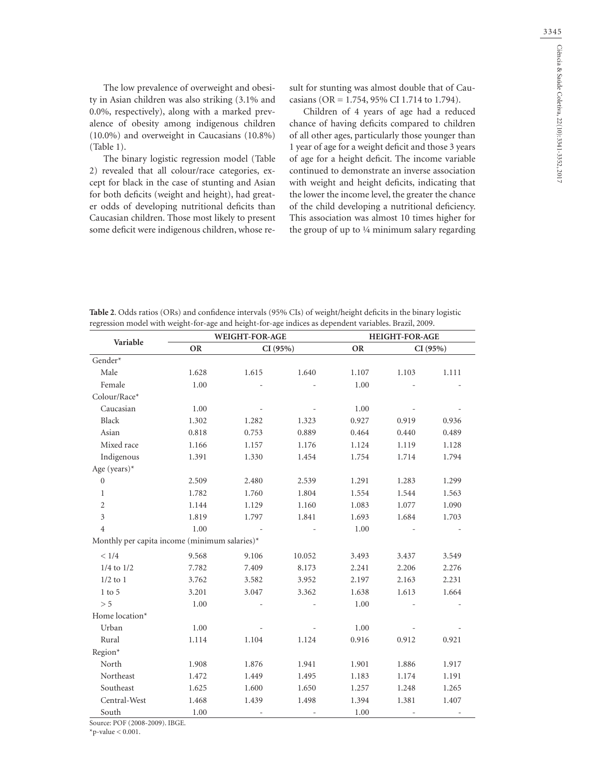The low prevalence of overweight and obesity in Asian children was also striking (3.1% and 0.0%, respectively), along with a marked prevalence of obesity among indigenous children (10.0%) and overweight in Caucasians (10.8%) (Table 1).

The binary logistic regression model (Table 2) revealed that all colour/race categories, except for black in the case of stunting and Asian for both deficits (weight and height), had greater odds of developing nutritional deficits than Caucasian children. Those most likely to present some deficit were indigenous children, whose result for stunting was almost double that of Caucasians (OR = 1.754, 95% CI 1.714 to 1.794).

Children of 4 years of age had a reduced chance of having deficits compared to children of all other ages, particularly those younger than 1 year of age for a weight deficit and those 3 years of age for a height deficit. The income variable continued to demonstrate an inverse association with weight and height deficits, indicating that the lower the income level, the greater the chance of the child developing a nutritional deficiency. This association was almost 10 times higher for the group of up to ¼ minimum salary regarding

| <b>Table 2.</b> Odds ratios (ORs) and confidence intervals (95% CIs) of weight/height deficits in the binary logistic |
|-----------------------------------------------------------------------------------------------------------------------|
| regression model with weight-for-age and height-for-age indices as dependent variables. Brazil, 2009.                 |

|                                               | WEIGHT-FOR-AGE |          |        | HEIGHT-FOR-AGE |         |       |
|-----------------------------------------------|----------------|----------|--------|----------------|---------|-------|
| Variable                                      | <b>OR</b>      | CI (95%) |        | <b>OR</b>      | CI(95%) |       |
| Gender*                                       |                |          |        |                |         |       |
| Male                                          | 1.628          | 1.615    | 1.640  | 1.107          | 1.103   | 1.111 |
| Female                                        | 1.00           |          |        | 1.00           |         |       |
| Colour/Race*                                  |                |          |        |                |         |       |
| Caucasian                                     | 1.00           |          |        | 1.00           |         |       |
| Black                                         | 1.302          | 1.282    | 1.323  | 0.927          | 0.919   | 0.936 |
| Asian                                         | 0.818          | 0.753    | 0.889  | 0.464          | 0.440   | 0.489 |
| Mixed race                                    | 1.166          | 1.157    | 1.176  | 1.124          | 1.119   | 1.128 |
| Indigenous                                    | 1.391          | 1.330    | 1.454  | 1.754          | 1.714   | 1.794 |
| Age (years)*                                  |                |          |        |                |         |       |
| $\mathbf{0}$                                  | 2.509          | 2.480    | 2.539  | 1.291          | 1.283   | 1.299 |
| $\mathbf{1}$                                  | 1.782          | 1.760    | 1.804  | 1.554          | 1.544   | 1.563 |
| $\mathbf{2}$                                  | 1.144          | 1.129    | 1.160  | 1.083          | 1.077   | 1.090 |
| $\mathfrak{Z}$                                | 1.819          | 1.797    | 1.841  | 1.693          | 1.684   | 1.703 |
| $\overline{4}$                                | 1.00           |          |        | 1.00           |         |       |
| Monthly per capita income (minimum salaries)* |                |          |        |                |         |       |
| < 1/4                                         | 9.568          | 9.106    | 10.052 | 3.493          | 3.437   | 3.549 |
| $1/4$ to $1/2$                                | 7.782          | 7.409    | 8.173  | 2.241          | 2.206   | 2.276 |
| $1/2$ to $1$                                  | 3.762          | 3.582    | 3.952  | 2.197          | 2.163   | 2.231 |
| $1$ to $5\,$                                  | 3.201          | 3.047    | 3.362  | 1.638          | 1.613   | 1.664 |
| > 5                                           | 1.00           |          |        | 1.00           |         |       |
| Home location*                                |                |          |        |                |         |       |
| Urban                                         | 1.00           |          |        | 1.00           |         |       |
| Rural                                         | 1.114          | 1.104    | 1.124  | 0.916          | 0.912   | 0.921 |
| Region*                                       |                |          |        |                |         |       |
| North                                         | 1.908          | 1.876    | 1.941  | 1.901          | 1.886   | 1.917 |
| Northeast                                     | 1.472          | 1.449    | 1.495  | 1.183          | 1.174   | 1.191 |
| Southeast                                     | 1.625          | 1.600    | 1.650  | 1.257          | 1.248   | 1.265 |
| Central-West                                  | 1.468          | 1.439    | 1.498  | 1.394          | 1.381   | 1.407 |
| South                                         | 1.00           |          |        | 1.00           |         |       |

Source: POF (2008-2009). IBGE.

 $*$ p-value  $< 0.001$ .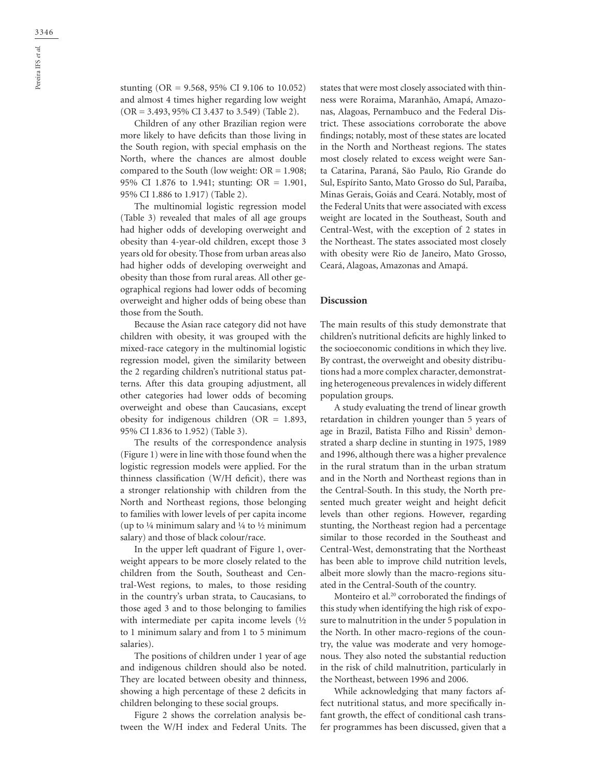stunting (OR = 9.568, 95% CI 9.106 to 10.052) and almost 4 times higher regarding low weight (OR = 3.493, 95% CI 3.437 to 3.549) (Table 2).

Children of any other Brazilian region were more likely to have deficits than those living in the South region, with special emphasis on the North, where the chances are almost double compared to the South (low weight:  $OR = 1.908$ ; 95% CI 1.876 to 1.941; stunting: OR = 1.901, 95% CI 1.886 to 1.917) (Table 2).

The multinomial logistic regression model (Table 3) revealed that males of all age groups had higher odds of developing overweight and obesity than 4-year-old children, except those 3 years old for obesity. Those from urban areas also had higher odds of developing overweight and obesity than those from rural areas. All other geographical regions had lower odds of becoming overweight and higher odds of being obese than those from the South.

Because the Asian race category did not have children with obesity, it was grouped with the mixed-race category in the multinomial logistic regression model, given the similarity between the 2 regarding children's nutritional status patterns. After this data grouping adjustment, all other categories had lower odds of becoming overweight and obese than Caucasians, except obesity for indigenous children ( $OR = 1.893$ , 95% CI 1.836 to 1.952) (Table 3).

The results of the correspondence analysis (Figure 1) were in line with those found when the logistic regression models were applied. For the thinness classification (W/H deficit), there was a stronger relationship with children from the North and Northeast regions, those belonging to families with lower levels of per capita income (up to  $\frac{1}{4}$  minimum salary and  $\frac{1}{4}$  to  $\frac{1}{2}$  minimum salary) and those of black colour/race.

In the upper left quadrant of Figure 1, overweight appears to be more closely related to the children from the South, Southeast and Central-West regions, to males, to those residing in the country's urban strata, to Caucasians, to those aged 3 and to those belonging to families with intermediate per capita income levels (½ to 1 minimum salary and from 1 to 5 minimum salaries).

The positions of children under 1 year of age and indigenous children should also be noted. They are located between obesity and thinness, showing a high percentage of these 2 deficits in children belonging to these social groups.

Figure 2 shows the correlation analysis between the W/H index and Federal Units. The states that were most closely associated with thinness were Roraima, Maranhão, Amapá, Amazonas, Alagoas, Pernambuco and the Federal District. These associations corroborate the above findings; notably, most of these states are located in the North and Northeast regions. The states most closely related to excess weight were Santa Catarina, Paraná, São Paulo, Rio Grande do Sul, Espírito Santo, Mato Grosso do Sul, Paraíba, Minas Gerais, Goiás and Ceará. Notably, most of the Federal Units that were associated with excess weight are located in the Southeast, South and Central-West, with the exception of 2 states in the Northeast. The states associated most closely with obesity were Rio de Janeiro, Mato Grosso, Ceará, Alagoas, Amazonas and Amapá.

#### **Discussion**

The main results of this study demonstrate that children's nutritional deficits are highly linked to the socioeconomic conditions in which they live. By contrast, the overweight and obesity distributions had a more complex character, demonstrating heterogeneous prevalences in widely different population groups.

A study evaluating the trend of linear growth retardation in children younger than 5 years of age in Brazil, Batista Filho and Rissin<sup>5</sup> demonstrated a sharp decline in stunting in 1975, 1989 and 1996, although there was a higher prevalence in the rural stratum than in the urban stratum and in the North and Northeast regions than in the Central-South. In this study, the North presented much greater weight and height deficit levels than other regions. However, regarding stunting, the Northeast region had a percentage similar to those recorded in the Southeast and Central-West, demonstrating that the Northeast has been able to improve child nutrition levels, albeit more slowly than the macro-regions situated in the Central-South of the country.

Monteiro et al. 20 corroborated the findings of this study when identifying the high risk of exposure to malnutrition in the under 5 population in the North. In other macro-regions of the country, the value was moderate and very homogenous. They also noted the substantial reduction in the risk of child malnutrition, particularly in the Northeast, between 1996 and 2006.

While acknowledging that many factors affect nutritional status, and more specifically infant growth, the effect of conditional cash transfer programmes has been discussed, given that a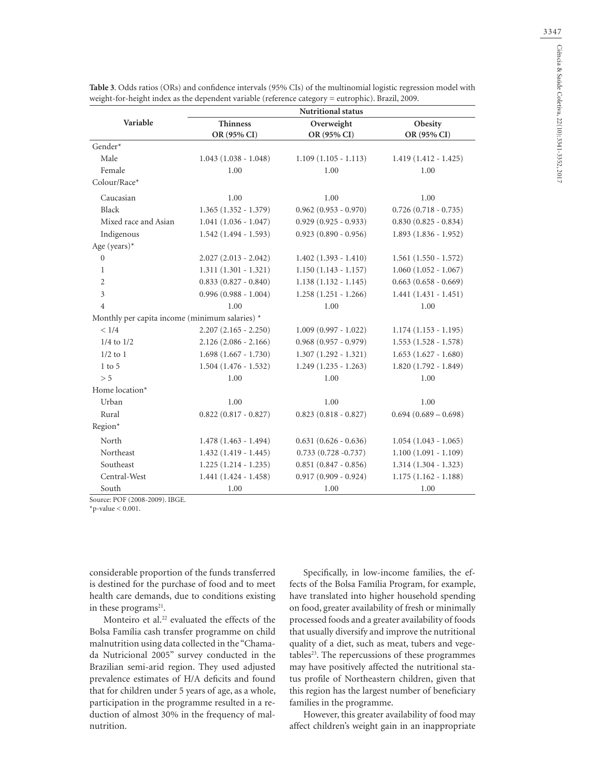|                                                | <b>Nutritional status</b>      |                           |                        |  |  |  |
|------------------------------------------------|--------------------------------|---------------------------|------------------------|--|--|--|
| Variable                                       | <b>Thinness</b><br>OR (95% CI) | Overweight<br>OR (95% CI) | Obesity<br>OR (95% CI) |  |  |  |
| Gender*                                        |                                |                           |                        |  |  |  |
| Male                                           | $1.043(1.038 - 1.048)$         | $1.109(1.105 - 1.113)$    | $1.419(1.412 - 1.425)$ |  |  |  |
| Female                                         | 1.00                           | 1.00                      | 1.00                   |  |  |  |
| Colour/Race*                                   |                                |                           |                        |  |  |  |
| Caucasian                                      | 1.00                           | 1.00                      | 1.00                   |  |  |  |
| Black                                          | $1.365(1.352 - 1.379)$         | $0.962(0.953 - 0.970)$    | $0.726(0.718 - 0.735)$ |  |  |  |
| Mixed race and Asian                           | $1.041(1.036 - 1.047)$         | $0.929(0.925 - 0.933)$    | $0.830(0.825 - 0.834)$ |  |  |  |
| Indigenous                                     | $1.542(1.494 - 1.593)$         | $0.923(0.890 - 0.956)$    | $1.893(1.836 - 1.952)$ |  |  |  |
| Age (years)*                                   |                                |                           |                        |  |  |  |
| $\mathbf{0}$                                   | $2.027(2.013 - 2.042)$         | $1.402(1.393 - 1.410)$    | $1.561(1.550 - 1.572)$ |  |  |  |
| $\mathbf{1}$                                   | $1.311(1.301 - 1.321)$         | $1.150(1.143 - 1.157)$    | $1.060(1.052 - 1.067)$ |  |  |  |
| $\overline{2}$                                 | $0.833(0.827 - 0.840)$         | $1.138(1.132 - 1.145)$    | $0.663(0.658 - 0.669)$ |  |  |  |
| $\overline{3}$                                 | $0.996(0.988 - 1.004)$         | $1.258(1.251 - 1.266)$    | $1.441(1.431 - 1.451)$ |  |  |  |
| $\overline{4}$                                 | 1.00                           | 1.00                      | 1.00                   |  |  |  |
| Monthly per capita income (minimum salaries) * |                                |                           |                        |  |  |  |
| < 1/4                                          | $2.207(2.165 - 2.250)$         | $1.009(0.997 - 1.022)$    | $1.174(1.153 - 1.195)$ |  |  |  |
| $1/4$ to $1/2$                                 | $2.126(2.086 - 2.166)$         | $0.968(0.957 - 0.979)$    | $1.553(1.528 - 1.578)$ |  |  |  |
| $1/2$ to $1$                                   | $1.698(1.667 - 1.730)$         | $1.307(1.292 - 1.321)$    | $1.653(1.627 - 1.680)$ |  |  |  |
| $1$ to $5$                                     | $1.504(1.476 - 1.532)$         | $1.249(1.235 - 1.263)$    | $1.820(1.792 - 1.849)$ |  |  |  |
| > 5                                            | 1.00                           | 1.00                      | 1.00                   |  |  |  |
| Home location*                                 |                                |                           |                        |  |  |  |
| Urban                                          | 1.00                           | 1.00                      | 1.00                   |  |  |  |
| Rural                                          | $0.822(0.817 - 0.827)$         | $0.823(0.818 - 0.827)$    | $0.694(0.689 - 0.698)$ |  |  |  |
| Region*                                        |                                |                           |                        |  |  |  |
| North                                          | $1.478(1.463 - 1.494)$         | $0.631(0.626 - 0.636)$    | $1.054(1.043 - 1.065)$ |  |  |  |
| Northeast                                      | $1.432(1.419 - 1.445)$         | $0.733(0.728 - 0.737)$    | $1.100(1.091 - 1.109)$ |  |  |  |
| Southeast                                      | $1.225(1.214 - 1.235)$         | $0.851(0.847 - 0.856)$    | $1.314(1.304 - 1.323)$ |  |  |  |
| Central-West                                   | $1.441(1.424 - 1.458)$         | $0.917(0.909 - 0.924)$    | $1.175(1.162 - 1.188)$ |  |  |  |
| South                                          | 1.00                           | 1.00                      | 1.00                   |  |  |  |

**Table 3**. Odds ratios (ORs) and confidence intervals (95% CIs) of the multinomial logistic regression model with weight-for-height index as the dependent variable (reference category = eutrophic). Brazil, 2009.

Source: POF (2008-2009). IBGE.

 $*_{p-value} < 0.001$ .

considerable proportion of the funds transferred is destined for the purchase of food and to meet health care demands, due to conditions existing in these programs<sup>21</sup>.

Monteiro et al. 22 evaluated the effects of the Bolsa Família cash transfer programme on child malnutrition using data collected in the "Chamada Nutricional 2005" survey conducted in the Brazilian semi-arid region. They used adjusted prevalence estimates of H/A deficits and found that for children under 5 years of age, as a whole, participation in the programme resulted in a reduction of almost 30% in the frequency of malnutrition.

Specifically, in low-income families, the effects of the Bolsa Família Program, for example, have translated into higher household spending on food, greater availability of fresh or minimally processed foods and a greater availability of foods that usually diversify and improve the nutritional quality of a diet, such as meat, tubers and vege $tables<sup>23</sup>$ . The repercussions of these programmes may have positively affected the nutritional status profile of Northeastern children, given that this region has the largest number of beneficiary families in the programme.

However, this greater availability of food may affect children's weight gain in an inappropriate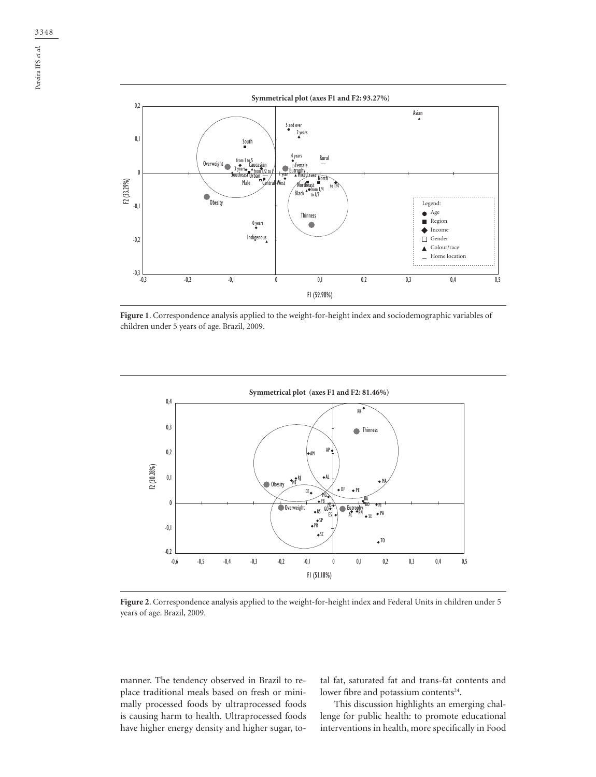

**Figure 1**. Correspondence analysis applied to the weight-for-height index and sociodemographic variables of children under 5 years of age. Brazil, 2009.



**Figure 2**. Correspondence analysis applied to the weight-for-height index and Federal Units in children under 5 years of age. Brazil, 2009.

manner. The tendency observed in Brazil to replace traditional meals based on fresh or minimally processed foods by ultraprocessed foods is causing harm to health. Ultraprocessed foods have higher energy density and higher sugar, total fat, saturated fat and trans-fat contents and lower fibre and potassium contents<sup>24</sup>.

This discussion highlights an emerging challenge for public health: to promote educational interventions in health, more specifically in Food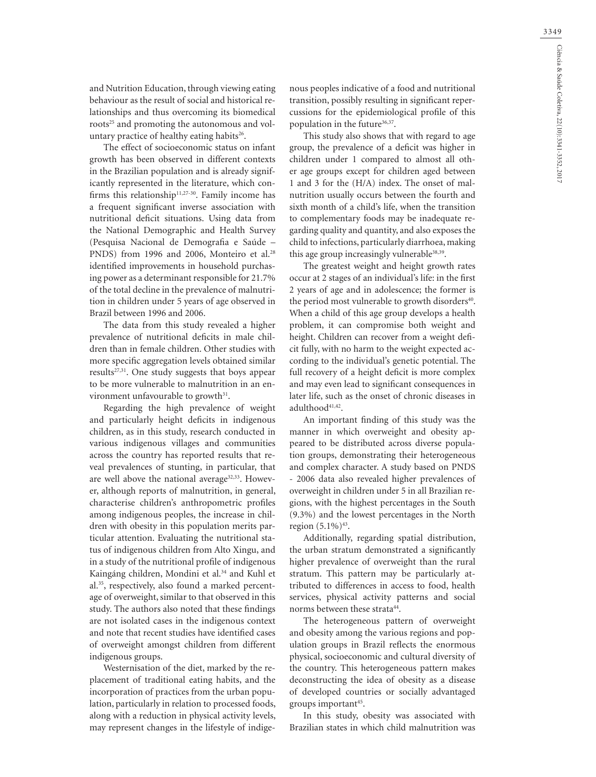and Nutrition Education, through viewing eating behaviour as the result of social and historical relationships and thus overcoming its biomedical roots<sup>25</sup> and promoting the autonomous and voluntary practice of healthy eating habits<sup>26</sup>.

The effect of socioeconomic status on infant growth has been observed in different contexts in the Brazilian population and is already significantly represented in the literature, which confirms this relationship $11,27-30$ . Family income has a frequent significant inverse association with nutritional deficit situations. Using data from the National Demographic and Health Survey (Pesquisa Nacional de Demografia e Saúde – PNDS) from 1996 and 2006, Monteiro et al.<sup>28</sup> identified improvements in household purchasing power as a determinant responsible for 21.7% of the total decline in the prevalence of malnutrition in children under 5 years of age observed in Brazil between 1996 and 2006.

The data from this study revealed a higher prevalence of nutritional deficits in male children than in female children. Other studies with more specific aggregation levels obtained similar results<sup>27,31</sup>. One study suggests that boys appear to be more vulnerable to malnutrition in an environment unfavourable to growth $31$ .

Regarding the high prevalence of weight and particularly height deficits in indigenous children, as in this study, research conducted in various indigenous villages and communities across the country has reported results that reveal prevalences of stunting, in particular, that are well above the national average<sup>32,33</sup>. However, although reports of malnutrition, in general, characterise children's anthropometric profiles among indigenous peoples, the increase in children with obesity in this population merits particular attention. Evaluating the nutritional status of indigenous children from Alto Xingu, and in a study of the nutritional profile of indigenous Kaingáng children, Mondini et al. 34 and Kuhl et al. 35, respectively, also found a marked percentage of overweight, similar to that observed in this study. The authors also noted that these findings are not isolated cases in the indigenous context and note that recent studies have identified cases of overweight amongst children from different indigenous groups.

Westernisation of the diet, marked by the replacement of traditional eating habits, and the incorporation of practices from the urban population, particularly in relation to processed foods, along with a reduction in physical activity levels, may represent changes in the lifestyle of indigenous peoples indicative of a food and nutritional transition, possibly resulting in significant repercussions for the epidemiological profile of this population in the future<sup>36,37</sup>.

This study also shows that with regard to age group, the prevalence of a deficit was higher in children under 1 compared to almost all other age groups except for children aged between 1 and 3 for the (H/A) index. The onset of malnutrition usually occurs between the fourth and sixth month of a child's life, when the transition to complementary foods may be inadequate regarding quality and quantity, and also exposes the child to infections, particularly diarrhoea, making this age group increasingly vulnerable<sup>38,39</sup>.

The greatest weight and height growth rates occur at 2 stages of an individual's life: in the first 2 years of age and in adolescence; the former is the period most vulnerable to growth disorders<sup>40</sup>. When a child of this age group develops a health problem, it can compromise both weight and height. Children can recover from a weight deficit fully, with no harm to the weight expected according to the individual's genetic potential. The full recovery of a height deficit is more complex and may even lead to significant consequences in later life, such as the onset of chronic diseases in adulthood<sup>41,42</sup>.

An important finding of this study was the manner in which overweight and obesity appeared to be distributed across diverse population groups, demonstrating their heterogeneous and complex character. A study based on PNDS - 2006 data also revealed higher prevalences of overweight in children under 5 in all Brazilian regions, with the highest percentages in the South (9.3%) and the lowest percentages in the North region  $(5.1\%)^{43}$ .

Additionally, regarding spatial distribution, the urban stratum demonstrated a significantly higher prevalence of overweight than the rural stratum. This pattern may be particularly attributed to differences in access to food, health services, physical activity patterns and social norms between these strata<sup>44</sup>.

The heterogeneous pattern of overweight and obesity among the various regions and population groups in Brazil reflects the enormous physical, socioeconomic and cultural diversity of the country. This heterogeneous pattern makes deconstructing the idea of obesity as a disease of developed countries or socially advantaged groups important<sup>45</sup>.

In this study, obesity was associated with Brazilian states in which child malnutrition was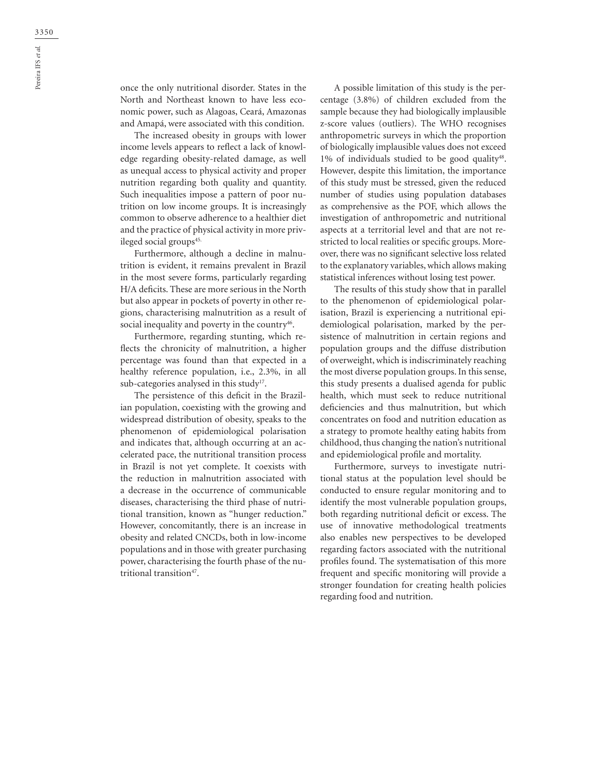once the only nutritional disorder. States in the North and Northeast known to have less economic power, such as Alagoas, Ceará, Amazonas and Amapá, were associated with this condition.

The increased obesity in groups with lower income levels appears to reflect a lack of knowledge regarding obesity-related damage, as well as unequal access to physical activity and proper nutrition regarding both quality and quantity. Such inequalities impose a pattern of poor nutrition on low income groups. It is increasingly common to observe adherence to a healthier diet and the practice of physical activity in more privileged social groups<sup>45.</sup>

Furthermore, although a decline in malnutrition is evident, it remains prevalent in Brazil in the most severe forms, particularly regarding H/A deficits. These are more serious in the North but also appear in pockets of poverty in other regions, characterising malnutrition as a result of social inequality and poverty in the country<sup>46</sup>.

Furthermore, regarding stunting, which reflects the chronicity of malnutrition, a higher percentage was found than that expected in a healthy reference population, i.e., 2.3%, in all sub-categories analysed in this study<sup>17</sup>.

The persistence of this deficit in the Brazilian population, coexisting with the growing and widespread distribution of obesity, speaks to the phenomenon of epidemiological polarisation and indicates that, although occurring at an accelerated pace, the nutritional transition process in Brazil is not yet complete. It coexists with the reduction in malnutrition associated with a decrease in the occurrence of communicable diseases, characterising the third phase of nutritional transition, known as "hunger reduction." However, concomitantly, there is an increase in obesity and related CNCDs, both in low-income populations and in those with greater purchasing power, characterising the fourth phase of the nutritional transition<sup>47</sup>.

A possible limitation of this study is the percentage (3.8%) of children excluded from the sample because they had biologically implausible z-score values (outliers). The WHO recognises anthropometric surveys in which the proportion of biologically implausible values does not exceed 1% of individuals studied to be good quality<sup>48</sup>. However, despite this limitation, the importance of this study must be stressed, given the reduced number of studies using population databases as comprehensive as the POF, which allows the investigation of anthropometric and nutritional aspects at a territorial level and that are not restricted to local realities or specific groups. Moreover, there was no significant selective loss related to the explanatory variables, which allows making statistical inferences without losing test power.

The results of this study show that in parallel to the phenomenon of epidemiological polarisation, Brazil is experiencing a nutritional epidemiological polarisation, marked by the persistence of malnutrition in certain regions and population groups and the diffuse distribution of overweight, which is indiscriminately reaching the most diverse population groups. In this sense, this study presents a dualised agenda for public health, which must seek to reduce nutritional deficiencies and thus malnutrition, but which concentrates on food and nutrition education as a strategy to promote healthy eating habits from childhood, thus changing the nation's nutritional and epidemiological profile and mortality.

Furthermore, surveys to investigate nutritional status at the population level should be conducted to ensure regular monitoring and to identify the most vulnerable population groups, both regarding nutritional deficit or excess. The use of innovative methodological treatments also enables new perspectives to be developed regarding factors associated with the nutritional profiles found. The systematisation of this more frequent and specific monitoring will provide a stronger foundation for creating health policies regarding food and nutrition.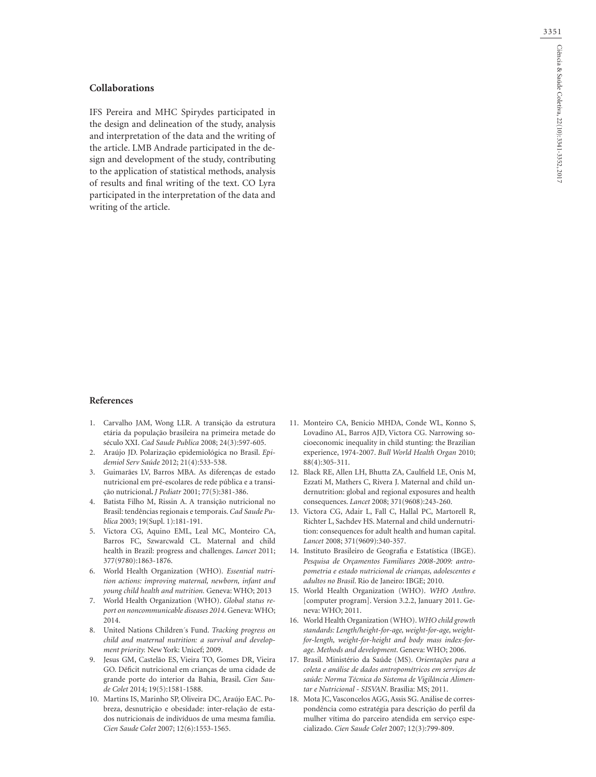## **Collaborations**

IFS Pereira and MHC Spirydes participated in the design and delineation of the study, analysis and interpretation of the data and the writing of the article. LMB Andrade participated in the design and development of the study, contributing to the application of statistical methods, analysis of results and final writing of the text. CO Lyra participated in the interpretation of the data and writing of the article.

#### **References**

- 1. Carvalho JAM, Wong LLR. A transição da estrutura etária da população brasileira na primeira metade do século XXI. *Cad Saude Publica* 2008; 24(3):597-605.
- 2. Araújo JD. Polarização epidemiológica no Brasil. *Epidemiol Serv Saúde* 2012; 21(4):533-538.
- 3. Guimarães LV, Barros MBA. As diferenças de estado nutricional em pré-escolares de rede pública e a transição nutricional**.** *J Pediatr* 2001; 77(5):381-386.
- 4. Batista Filho M, Rissin A. A transição nutricional no Brasil: tendências regionais e temporais. *Cad Saude Publica* 2003; 19(Supl. 1):181-191.
- 5. Victora CG, Aquino EML, Leal MC, Monteiro CA, Barros FC, Szwarcwald CL. Maternal and child health in Brazil: progress and challenges. *Lancet* 2011; 377(9780):1863-1876.
- 6. World Health Organization (WHO)*. Essential nutrition actions: improving maternal, newborn, infant and young child health and nutrition.* Geneva: WHO; 2013
- 7. World Health Organization (WHO). *Global status report on noncommunicable diseases 2014*. Geneva: WHO; 2014.
- 8. United Nations Children´s Fund. *Tracking progress on child and maternal nutrition: a survival and development priority.* New York: Unicef; 2009.
- 9. Jesus GM, Castelão ES, Vieira TO, Gomes DR, Vieira GO. Déficit nutricional em crianças de uma cidade de grande porte do interior da Bahia, Brasil**.** *Cien Saude Colet* 2014; 19(5):1581-1588.
- 10. Martins IS, Marinho SP, Oliveira DC, Araújo EAC. Pobreza, desnutrição e obesidade: inter-relação de estados nutricionais de indivíduos de uma mesma família. *Cien Saude Colet* 2007; 12(6):1553-1565.
- 11. Monteiro CA, Benicio MHDA, Conde WL, Konno S, Lovadino AL, Barros AJD, Victora CG. Narrowing socioeconomic inequality in child stunting: the Brazilian experience, 1974-2007. *Bull World Health Organ* 2010; 88(4):305-311.
- 12. Black RE, Allen LH, Bhutta ZA, Caulfield LE, Onis M, Ezzati M, Mathers C, Rivera J. Maternal and child undernutrition: global and regional exposures and health consequences. *Lancet* 2008; 371(9608):243-260.
- 13. Victora CG, Adair L, Fall C, Hallal PC, Martorell R, Richter L, Sachdev HS. Maternal and child undernutrition: consequences for adult health and human capital. *Lancet* 2008; 371(9609):340-357.
- 14. Instituto Brasileiro de Geografia e Estatística (IBGE). *Pesquisa de Orçamentos Familiares 2008-2009: antropometria e estado nutricional de crianças, adolescentes e adultos no Brasil*. Rio de Janeiro: IBGE; 2010.
- 15. World Health Organization (WHO). *WHO Anthro*. [computer program]. Version 3.2.2, January 2011. Geneva: WHO; 2011.
- 16. World Health Organization (WHO). *WHO child growth standards: Length/height-for-age, weight-for-age, weightfor-length, weight-for-height and body mass index-forage. Methods and development*. Geneva: WHO; 2006.
- 17. Brasil. Ministério da Saúde (MS). *Orientações para a coleta e análise de dados antropométricos em serviços de saúde: Norma Técnica do Sistema de Vigilância Alimentar e Nutricional - SISVAN*. Brasília: MS; 2011.
- 18. Mota JC, Vasconcelos AGG, Assis SG. Análise de correspondência como estratégia para descrição do perfil da mulher vítima do parceiro atendida em serviço especializado. *Cien Saude Colet* 2007; 12(3):799-809.